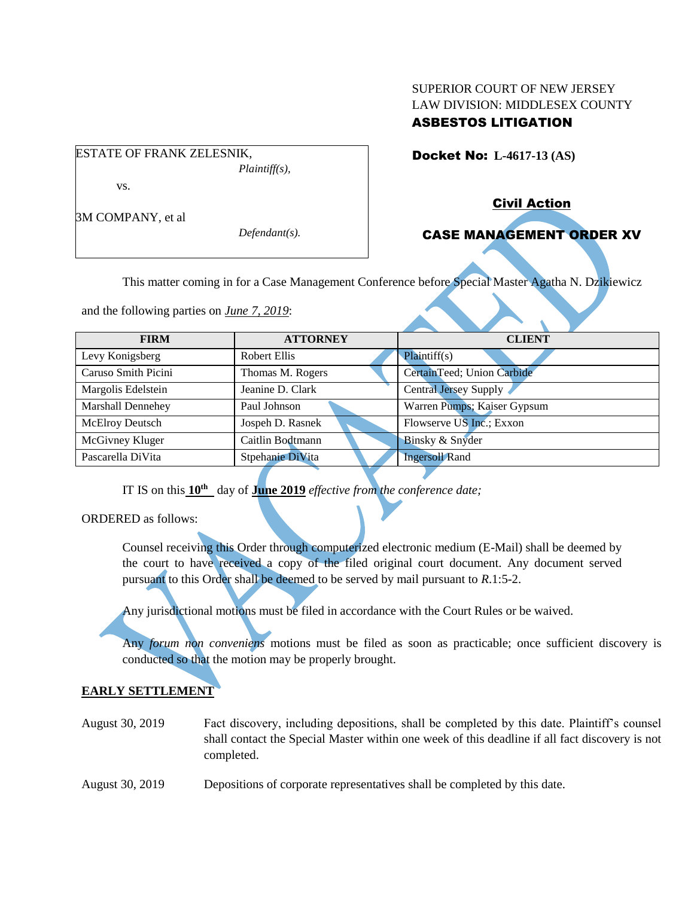## SUPERIOR COURT OF NEW JERSEY LAW DIVISION: MIDDLESEX COUNTY ASBESTOS LITIGATION

Docket No: **L-4617-13 (AS)** 

vs.

3M COMPANY, et al

ESTATE OF FRANK ZELESNIK,

*Defendant(s).*

*Plaintiff(s),*

Civil Action

# CASE MANAGEMENT ORDER XV

This matter coming in for a Case Management Conference before Special Master Agatha N. Dzikiewicz

and the following parties on *June 7, 2019*:

| <b>FIRM</b>            | <b>ATTORNEY</b>  | <b>CLIENT</b>               |
|------------------------|------------------|-----------------------------|
| Levy Konigsberg        | Robert Ellis     | Plaintiff(s)                |
| Caruso Smith Picini    | Thomas M. Rogers | CertainTeed; Union Carbide  |
| Margolis Edelstein     | Jeanine D. Clark | Central Jersey Supply       |
| Marshall Dennehey      | Paul Johnson     | Warren Pumps; Kaiser Gypsum |
| <b>McElroy Deutsch</b> | Jospeh D. Rasnek | Flowserve US Inc.; Exxon    |
| McGivney Kluger        | Caitlin Bodtmann | Binsky & Snyder             |
| Pascarella DiVita      | Stpehanie DiVita | <b>Ingersoll Rand</b>       |

IT IS on this **10th** day of **June 2019** *effective from the conference date;*

ORDERED as follows:

Counsel receiving this Order through computerized electronic medium (E-Mail) shall be deemed by the court to have received a copy of the filed original court document. Any document served pursuant to this Order shall be deemed to be served by mail pursuant to *R*.1:5-2.

Any jurisdictional motions must be filed in accordance with the Court Rules or be waived.

Any *forum non conveniens* motions must be filed as soon as practicable; once sufficient discovery is conducted so that the motion may be properly brought.

# **EARLY SETTLEMENT**

- August 30, 2019 Fact discovery, including depositions, shall be completed by this date. Plaintiff's counsel shall contact the Special Master within one week of this deadline if all fact discovery is not completed.
- August 30, 2019 Depositions of corporate representatives shall be completed by this date.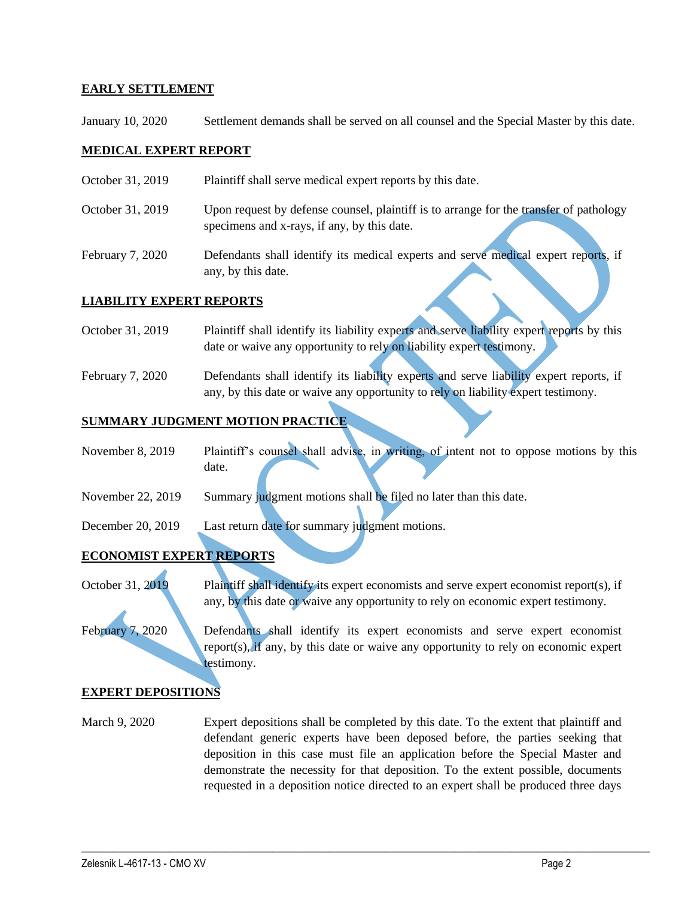## **EARLY SETTLEMENT**

January 10, 2020 Settlement demands shall be served on all counsel and the Special Master by this date.

## **MEDICAL EXPERT REPORT**

- October 31, 2019 Plaintiff shall serve medical expert reports by this date.
- October 31, 2019 Upon request by defense counsel, plaintiff is to arrange for the transfer of pathology specimens and x-rays, if any, by this date.
- February 7, 2020 Defendants shall identify its medical experts and serve medical expert reports, if any, by this date.

#### **LIABILITY EXPERT REPORTS**

- October 31, 2019 Plaintiff shall identify its liability experts and serve liability expert reports by this date or waive any opportunity to rely on liability expert testimony.
- February 7, 2020 Defendants shall identify its liability experts and serve liability expert reports, if any, by this date or waive any opportunity to rely on liability expert testimony.

## **SUMMARY JUDGMENT MOTION PRACTICE**

- November 8, 2019 Plaintiff's counsel shall advise, in writing, of intent not to oppose motions by this date.
- November 22, 2019 Summary judgment motions shall be filed no later than this date.
- December 20, 2019 Last return date for summary judgment motions.

## **ECONOMIST EXPERT REPORTS**

October 31, 2019 Plaintiff shall identify its expert economists and serve expert economist report(s), if any, by this date or waive any opportunity to rely on economic expert testimony.

February 7, 2020 Defendants shall identify its expert economists and serve expert economist report(s), if any, by this date or waive any opportunity to rely on economic expert testimony.

## **EXPERT DEPOSITIONS**

March 9, 2020 Expert depositions shall be completed by this date. To the extent that plaintiff and defendant generic experts have been deposed before, the parties seeking that deposition in this case must file an application before the Special Master and demonstrate the necessity for that deposition. To the extent possible, documents requested in a deposition notice directed to an expert shall be produced three days

 $\mathcal{L}_\mathcal{L} = \{ \mathcal{L}_\mathcal{L} = \{ \mathcal{L}_\mathcal{L} = \{ \mathcal{L}_\mathcal{L} = \{ \mathcal{L}_\mathcal{L} = \{ \mathcal{L}_\mathcal{L} = \{ \mathcal{L}_\mathcal{L} = \{ \mathcal{L}_\mathcal{L} = \{ \mathcal{L}_\mathcal{L} = \{ \mathcal{L}_\mathcal{L} = \{ \mathcal{L}_\mathcal{L} = \{ \mathcal{L}_\mathcal{L} = \{ \mathcal{L}_\mathcal{L} = \{ \mathcal{L}_\mathcal{L} = \{ \mathcal{L}_\mathcal{$